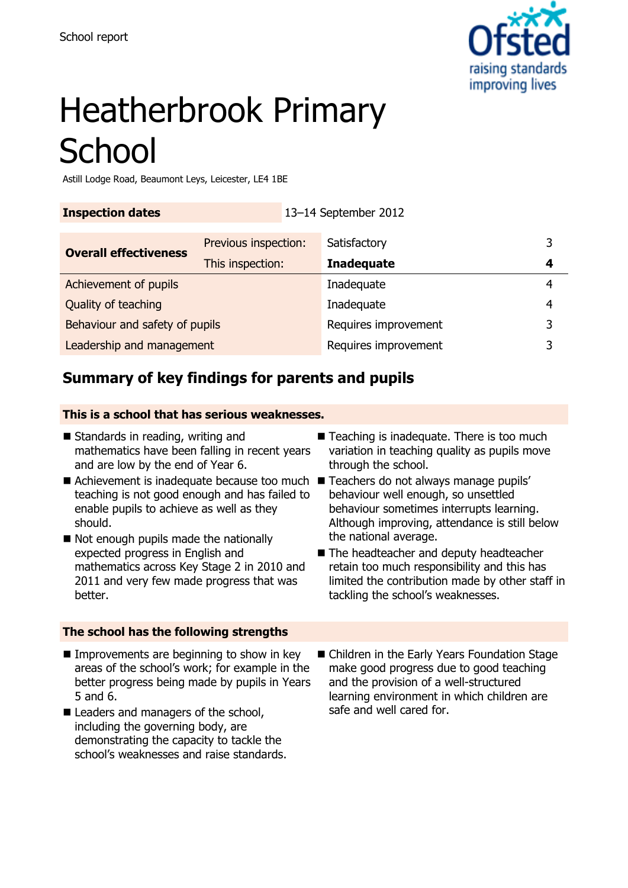

# Heatherbrook Primary **School**

Astill Lodge Road, Beaumont Leys, Leicester, LE4 1BE

**Inspection dates** 13–14 September 2012

| <b>Overall effectiveness</b>   | Previous inspection: | Satisfactory         |   |
|--------------------------------|----------------------|----------------------|---|
|                                | This inspection:     | <b>Inadequate</b>    | 4 |
| Achievement of pupils          |                      | Inadequate           |   |
| Quality of teaching            |                      | Inadequate           | 4 |
| Behaviour and safety of pupils |                      | Requires improvement | ર |
| Leadership and management      |                      | Requires improvement |   |

# **Summary of key findings for parents and pupils**

#### **This is a school that has serious weaknesses.**

- $\blacksquare$  Standards in reading, writing and mathematics have been falling in recent years and are low by the end of Year 6.
- Achievement is inadequate because too much Teachers do not always manage pupils' teaching is not good enough and has failed to enable pupils to achieve as well as they should.
- Not enough pupils made the nationally expected progress in English and mathematics across Key Stage 2 in 2010 and 2011 and very few made progress that was better.

## **The school has the following strengths**

- $\blacksquare$  Improvements are beginning to show in key areas of the school's work; for example in the better progress being made by pupils in Years 5 and 6.
- Leaders and managers of the school, including the governing body, are demonstrating the capacity to tackle the school's weaknesses and raise standards.
- Teaching is inadequate. There is too much variation in teaching quality as pupils move through the school.
- behaviour well enough, so unsettled behaviour sometimes interrupts learning. Although improving, attendance is still below the national average.
- The headteacher and deputy headteacher retain too much responsibility and this has limited the contribution made by other staff in tackling the school's weaknesses.
- Children in the Early Years Foundation Stage make good progress due to good teaching and the provision of a well-structured learning environment in which children are safe and well cared for.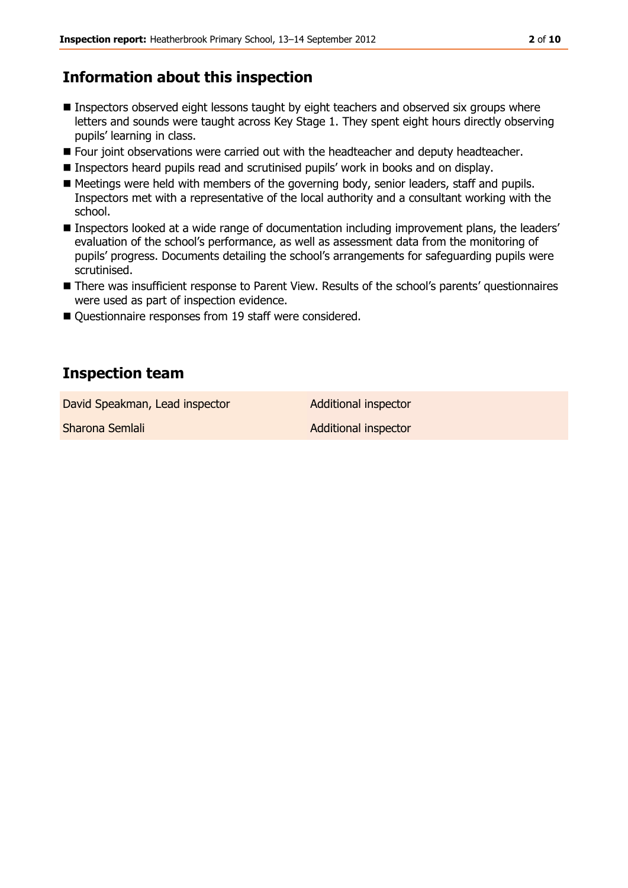# **Information about this inspection**

- Inspectors observed eight lessons taught by eight teachers and observed six groups where letters and sounds were taught across Key Stage 1. They spent eight hours directly observing pupils' learning in class.
- **Four joint observations were carried out with the headteacher and deputy headteacher.**
- Inspectors heard pupils read and scrutinised pupils' work in books and on display.
- Meetings were held with members of the governing body, senior leaders, staff and pupils. Inspectors met with a representative of the local authority and a consultant working with the school.
- Inspectors looked at a wide range of documentation including improvement plans, the leaders' evaluation of the school's performance, as well as assessment data from the monitoring of pupils' progress. Documents detailing the school's arrangements for safeguarding pupils were scrutinised.
- There was insufficient response to Parent View. Results of the school's parents' questionnaires were used as part of inspection evidence.
- Questionnaire responses from 19 staff were considered.

# **Inspection team**

David Speakman, Lead inspector **Additional inspector** 

Sharona Semlali Additional inspector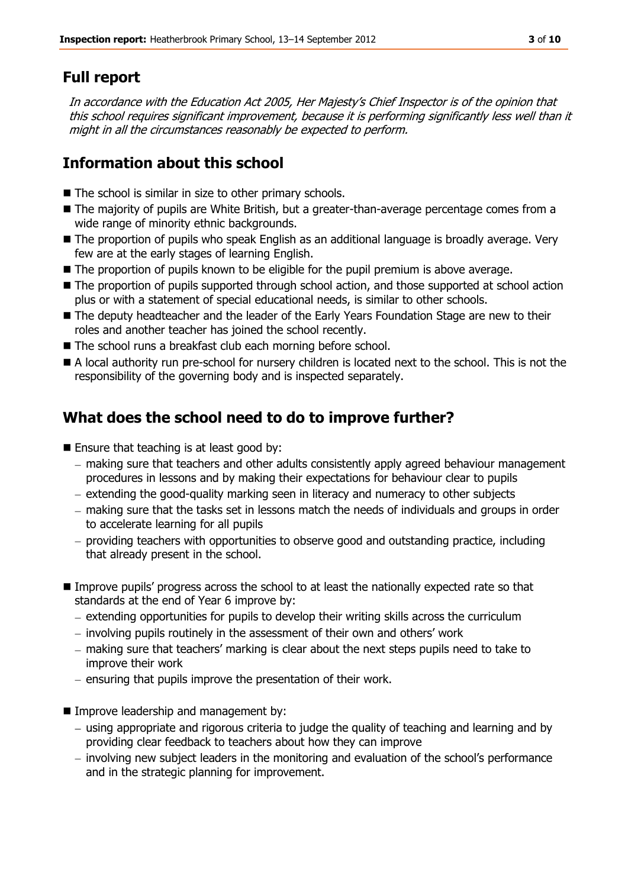# **Full report**

In accordance with the Education Act 2005, Her Majesty's Chief Inspector is of the opinion that this school requires significant improvement, because it is performing significantly less well than it might in all the circumstances reasonably be expected to perform.

# **Information about this school**

- The school is similar in size to other primary schools.
- The majority of pupils are White British, but a greater-than-average percentage comes from a wide range of minority ethnic backgrounds.
- The proportion of pupils who speak English as an additional language is broadly average. Very few are at the early stages of learning English.
- The proportion of pupils known to be eligible for the pupil premium is above average.
- The proportion of pupils supported through school action, and those supported at school action plus or with a statement of special educational needs, is similar to other schools.
- The deputy headteacher and the leader of the Early Years Foundation Stage are new to their roles and another teacher has joined the school recently.
- The school runs a breakfast club each morning before school.
- A local authority run pre-school for nursery children is located next to the school. This is not the responsibility of the governing body and is inspected separately.

# **What does the school need to do to improve further?**

- **Ensure that teaching is at least good by:** 
	- making sure that teachers and other adults consistently apply agreed behaviour management procedures in lessons and by making their expectations for behaviour clear to pupils
	- $-$  extending the good-quality marking seen in literacy and numeracy to other subjects
	- making sure that the tasks set in lessons match the needs of individuals and groups in order to accelerate learning for all pupils
	- providing teachers with opportunities to observe good and outstanding practice, including that already present in the school.
- Improve pupils' progress across the school to at least the nationally expected rate so that standards at the end of Year 6 improve by:
	- $-$  extending opportunities for pupils to develop their writing skills across the curriculum
	- involving pupils routinely in the assessment of their own and others' work
	- making sure that teachers' marking is clear about the next steps pupils need to take to improve their work
	- $-$  ensuring that pupils improve the presentation of their work.
- **IMPROPE Instance Incontent and management by:** 
	- $-$  using appropriate and rigorous criteria to judge the quality of teaching and learning and by providing clear feedback to teachers about how they can improve
	- involving new subject leaders in the monitoring and evaluation of the school's performance and in the strategic planning for improvement.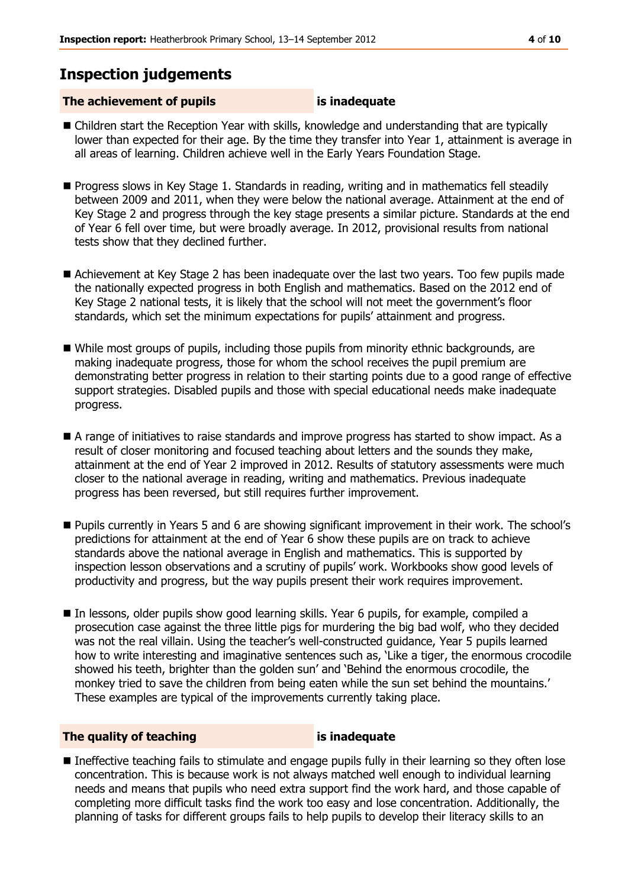# **Inspection judgements**

## **The achievement of pupils is inadequate**

- Children start the Reception Year with skills, knowledge and understanding that are typically lower than expected for their age. By the time they transfer into Year 1, attainment is average in all areas of learning. Children achieve well in the Early Years Foundation Stage.
- **Progress slows in Key Stage 1. Standards in reading, writing and in mathematics fell steadily** between 2009 and 2011, when they were below the national average. Attainment at the end of Key Stage 2 and progress through the key stage presents a similar picture. Standards at the end of Year 6 fell over time, but were broadly average. In 2012, provisional results from national tests show that they declined further.
- Achievement at Key Stage 2 has been inadequate over the last two years. Too few pupils made the nationally expected progress in both English and mathematics. Based on the 2012 end of Key Stage 2 national tests, it is likely that the school will not meet the government's floor standards, which set the minimum expectations for pupils' attainment and progress.
- While most groups of pupils, including those pupils from minority ethnic backgrounds, are making inadequate progress, those for whom the school receives the pupil premium are demonstrating better progress in relation to their starting points due to a good range of effective support strategies. Disabled pupils and those with special educational needs make inadequate progress.
- A range of initiatives to raise standards and improve progress has started to show impact. As a result of closer monitoring and focused teaching about letters and the sounds they make, attainment at the end of Year 2 improved in 2012. Results of statutory assessments were much closer to the national average in reading, writing and mathematics. Previous inadequate progress has been reversed, but still requires further improvement.
- Pupils currently in Years 5 and 6 are showing significant improvement in their work. The school's predictions for attainment at the end of Year 6 show these pupils are on track to achieve standards above the national average in English and mathematics. This is supported by inspection lesson observations and a scrutiny of pupils' work. Workbooks show good levels of productivity and progress, but the way pupils present their work requires improvement.
- In lessons, older pupils show good learning skills. Year 6 pupils, for example, compiled a prosecution case against the three little pigs for murdering the big bad wolf, who they decided was not the real villain. Using the teacher's well-constructed guidance, Year 5 pupils learned how to write interesting and imaginative sentences such as, 'Like a tiger, the enormous crocodile showed his teeth, brighter than the golden sun' and 'Behind the enormous crocodile, the monkey tried to save the children from being eaten while the sun set behind the mountains.' These examples are typical of the improvements currently taking place.

## **The quality of teaching is inadequate**

 Ineffective teaching fails to stimulate and engage pupils fully in their learning so they often lose concentration. This is because work is not always matched well enough to individual learning needs and means that pupils who need extra support find the work hard, and those capable of completing more difficult tasks find the work too easy and lose concentration. Additionally, the planning of tasks for different groups fails to help pupils to develop their literacy skills to an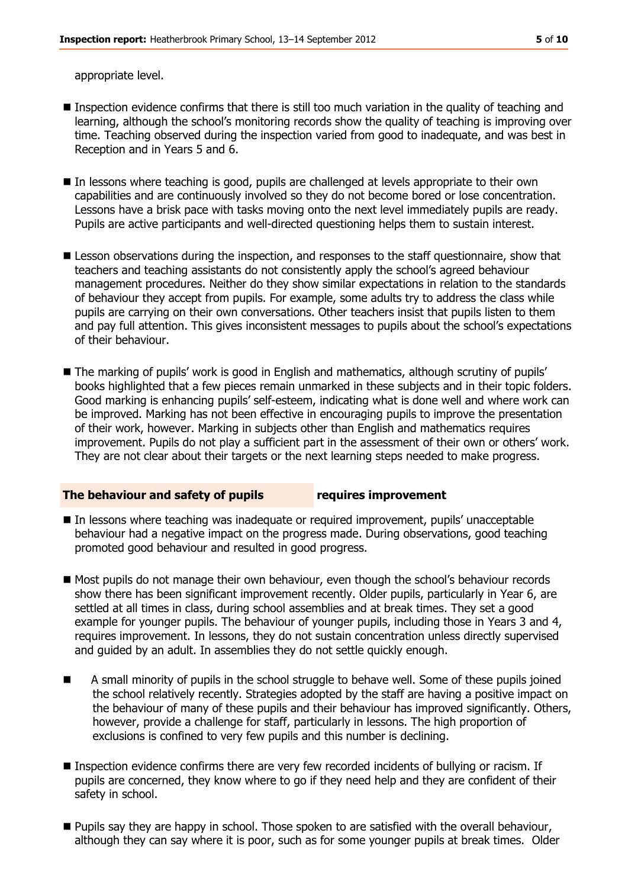appropriate level.

- **Inspection evidence confirms that there is still too much variation in the quality of teaching and** learning, although the school's monitoring records show the quality of teaching is improving over time. Teaching observed during the inspection varied from good to inadequate, and was best in Reception and in Years 5 and 6.
- In lessons where teaching is good, pupils are challenged at levels appropriate to their own capabilities and are continuously involved so they do not become bored or lose concentration. Lessons have a brisk pace with tasks moving onto the next level immediately pupils are ready. Pupils are active participants and well-directed questioning helps them to sustain interest.
- **E** Lesson observations during the inspection, and responses to the staff questionnaire, show that teachers and teaching assistants do not consistently apply the school's agreed behaviour management procedures. Neither do they show similar expectations in relation to the standards of behaviour they accept from pupils. For example, some adults try to address the class while pupils are carrying on their own conversations. Other teachers insist that pupils listen to them and pay full attention. This gives inconsistent messages to pupils about the school's expectations of their behaviour.
- The marking of pupils' work is good in English and mathematics, although scrutiny of pupils' books highlighted that a few pieces remain unmarked in these subjects and in their topic folders. Good marking is enhancing pupils' self-esteem, indicating what is done well and where work can be improved. Marking has not been effective in encouraging pupils to improve the presentation of their work, however. Marking in subjects other than English and mathematics requires improvement. Pupils do not play a sufficient part in the assessment of their own or others' work. They are not clear about their targets or the next learning steps needed to make progress.

#### **The behaviour and safety of pupils requires improvement**

- In lessons where teaching was inadequate or required improvement, pupils' unacceptable behaviour had a negative impact on the progress made. During observations, good teaching promoted good behaviour and resulted in good progress.
- $\blacksquare$  Most pupils do not manage their own behaviour, even though the school's behaviour records show there has been significant improvement recently. Older pupils, particularly in Year 6, are settled at all times in class, during school assemblies and at break times. They set a good example for younger pupils. The behaviour of younger pupils, including those in Years 3 and 4, requires improvement. In lessons, they do not sustain concentration unless directly supervised and guided by an adult. In assemblies they do not settle quickly enough.
- A small minority of pupils in the school struggle to behave well. Some of these pupils joined the school relatively recently. Strategies adopted by the staff are having a positive impact on the behaviour of many of these pupils and their behaviour has improved significantly. Others, however, provide a challenge for staff, particularly in lessons. The high proportion of exclusions is confined to very few pupils and this number is declining.
- **Inspection evidence confirms there are very few recorded incidents of bullying or racism. If** pupils are concerned, they know where to go if they need help and they are confident of their safety in school.
- Pupils say they are happy in school. Those spoken to are satisfied with the overall behaviour, although they can say where it is poor, such as for some younger pupils at break times. Older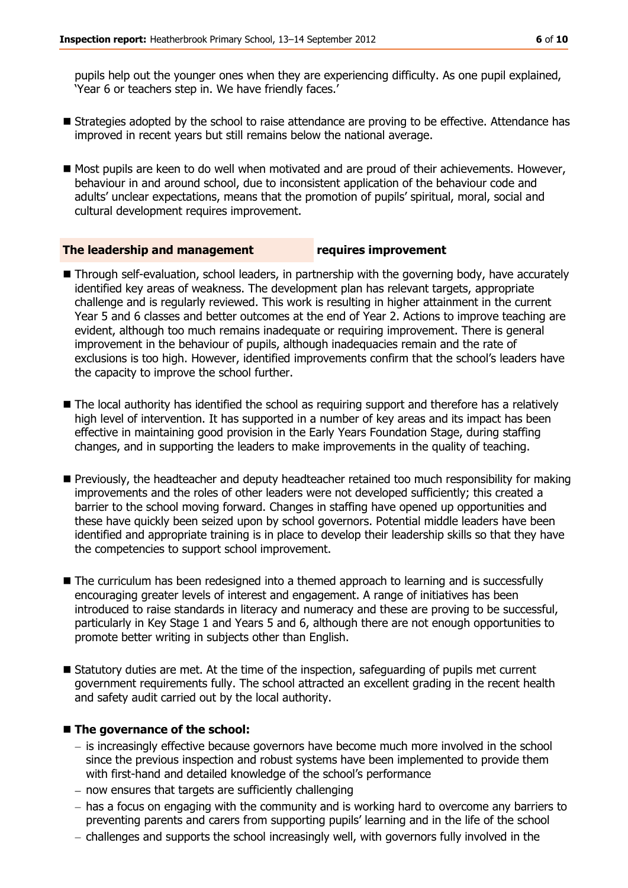pupils help out the younger ones when they are experiencing difficulty. As one pupil explained, 'Year 6 or teachers step in. We have friendly faces.'

- **Example 3** Strategies adopted by the school to raise attendance are proving to be effective. Attendance has improved in recent years but still remains below the national average.
- Most pupils are keen to do well when motivated and are proud of their achievements. However, behaviour in and around school, due to inconsistent application of the behaviour code and adults' unclear expectations, means that the promotion of pupils' spiritual, moral, social and cultural development requires improvement.

#### **The leadership and management requires improvement**

- Through self-evaluation, school leaders, in partnership with the governing body, have accurately identified key areas of weakness. The development plan has relevant targets, appropriate challenge and is regularly reviewed. This work is resulting in higher attainment in the current Year 5 and 6 classes and better outcomes at the end of Year 2. Actions to improve teaching are evident, although too much remains inadequate or requiring improvement. There is general improvement in the behaviour of pupils, although inadequacies remain and the rate of exclusions is too high. However, identified improvements confirm that the school's leaders have the capacity to improve the school further.
- The local authority has identified the school as requiring support and therefore has a relatively high level of intervention. It has supported in a number of key areas and its impact has been effective in maintaining good provision in the Early Years Foundation Stage, during staffing changes, and in supporting the leaders to make improvements in the quality of teaching.
- **Previously, the headteacher and deputy headteacher retained too much responsibility for making** improvements and the roles of other leaders were not developed sufficiently; this created a barrier to the school moving forward. Changes in staffing have opened up opportunities and these have quickly been seized upon by school governors. Potential middle leaders have been identified and appropriate training is in place to develop their leadership skills so that they have the competencies to support school improvement.
- The curriculum has been redesigned into a themed approach to learning and is successfully encouraging greater levels of interest and engagement. A range of initiatives has been introduced to raise standards in literacy and numeracy and these are proving to be successful, particularly in Key Stage 1 and Years 5 and 6, although there are not enough opportunities to promote better writing in subjects other than English.
- Statutory duties are met. At the time of the inspection, safeguarding of pupils met current government requirements fully. The school attracted an excellent grading in the recent health and safety audit carried out by the local authority.

#### ■ The governance of the school:

- $-$  is increasingly effective because governors have become much more involved in the school since the previous inspection and robust systems have been implemented to provide them with first-hand and detailed knowledge of the school's performance
- $-$  now ensures that targets are sufficiently challenging
- has a focus on engaging with the community and is working hard to overcome any barriers to preventing parents and carers from supporting pupils' learning and in the life of the school
- challenges and supports the school increasingly well, with governors fully involved in the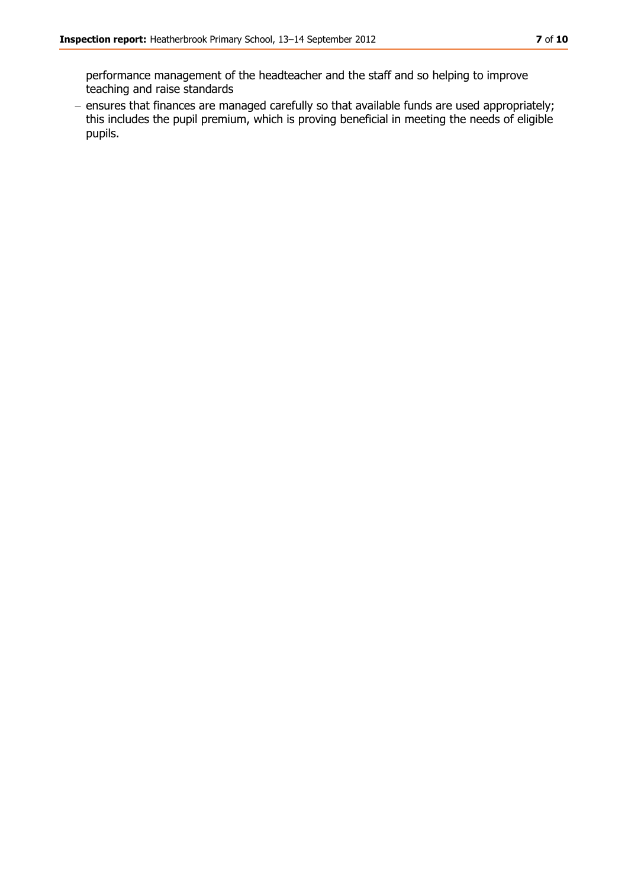- ensures that finances are managed carefully so that available funds are used appropriately; this includes the pupil premium, which is proving beneficial in meeting the needs of eligible pupils.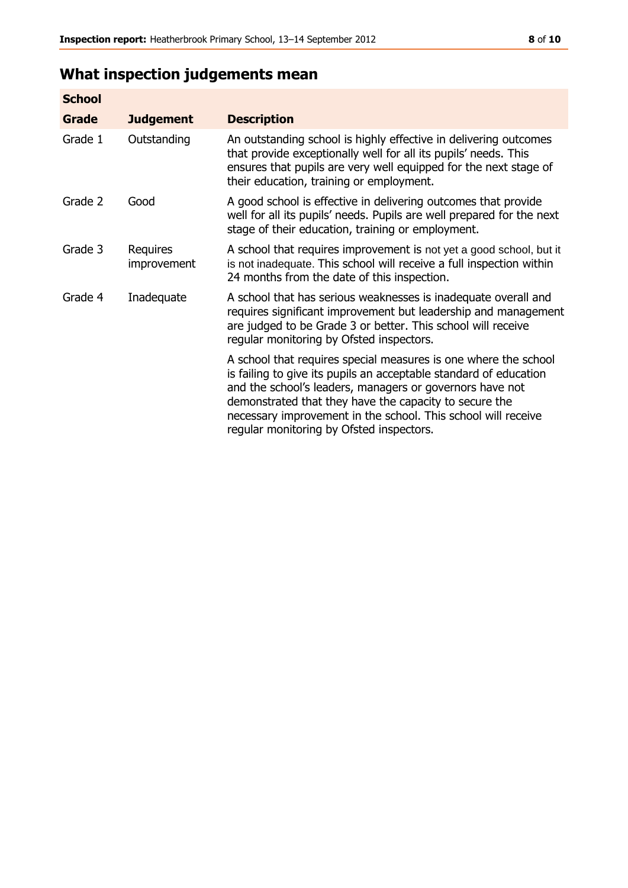# **What inspection judgements mean**

| <b>School</b> |                         |                                                                                                                                                                                                                                                                                                                                                                         |
|---------------|-------------------------|-------------------------------------------------------------------------------------------------------------------------------------------------------------------------------------------------------------------------------------------------------------------------------------------------------------------------------------------------------------------------|
| <b>Grade</b>  | <b>Judgement</b>        | <b>Description</b>                                                                                                                                                                                                                                                                                                                                                      |
| Grade 1       | Outstanding             | An outstanding school is highly effective in delivering outcomes<br>that provide exceptionally well for all its pupils' needs. This<br>ensures that pupils are very well equipped for the next stage of<br>their education, training or employment.                                                                                                                     |
| Grade 2       | Good                    | A good school is effective in delivering outcomes that provide<br>well for all its pupils' needs. Pupils are well prepared for the next<br>stage of their education, training or employment.                                                                                                                                                                            |
| Grade 3       | Requires<br>improvement | A school that requires improvement is not yet a good school, but it<br>is not inadequate. This school will receive a full inspection within<br>24 months from the date of this inspection.                                                                                                                                                                              |
| Grade 4       | Inadequate              | A school that has serious weaknesses is inadequate overall and<br>requires significant improvement but leadership and management<br>are judged to be Grade 3 or better. This school will receive<br>regular monitoring by Ofsted inspectors.                                                                                                                            |
|               |                         | A school that requires special measures is one where the school<br>is failing to give its pupils an acceptable standard of education<br>and the school's leaders, managers or governors have not<br>demonstrated that they have the capacity to secure the<br>necessary improvement in the school. This school will receive<br>regular monitoring by Ofsted inspectors. |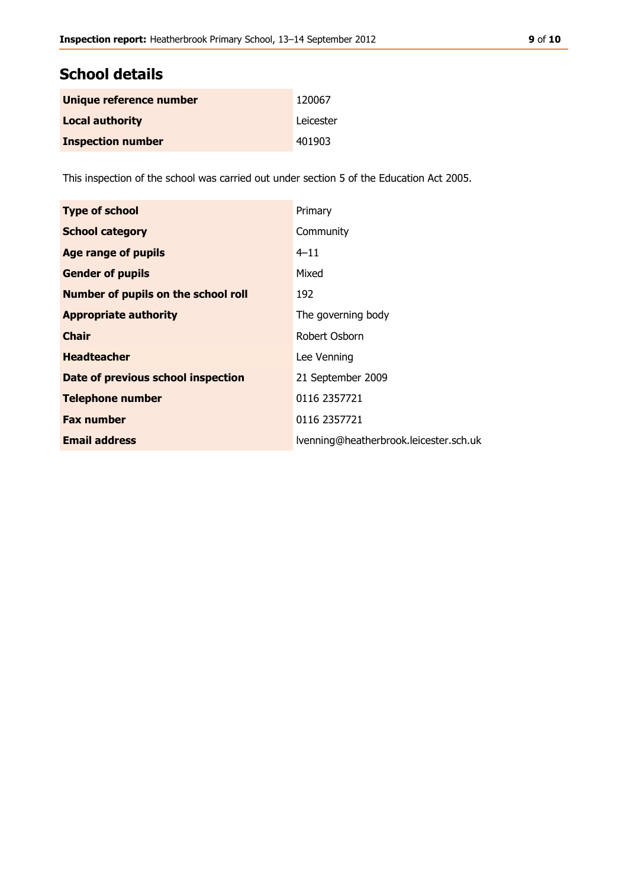# **School details**

| Unique reference number  | 120067    |
|--------------------------|-----------|
| <b>Local authority</b>   | Leicester |
| <b>Inspection number</b> | 401903    |

This inspection of the school was carried out under section 5 of the Education Act 2005.

| <b>Type of school</b>               | Primary                                |
|-------------------------------------|----------------------------------------|
| <b>School category</b>              | Community                              |
| Age range of pupils                 | $4 - 11$                               |
| <b>Gender of pupils</b>             | Mixed                                  |
| Number of pupils on the school roll | 192                                    |
| <b>Appropriate authority</b>        | The governing body                     |
| <b>Chair</b>                        | Robert Osborn                          |
| <b>Headteacher</b>                  | Lee Venning                            |
| Date of previous school inspection  | 21 September 2009                      |
| <b>Telephone number</b>             | 0116 2357721                           |
| <b>Fax number</b>                   | 0116 2357721                           |
| <b>Email address</b>                | Ivenning@heatherbrook.leicester.sch.uk |